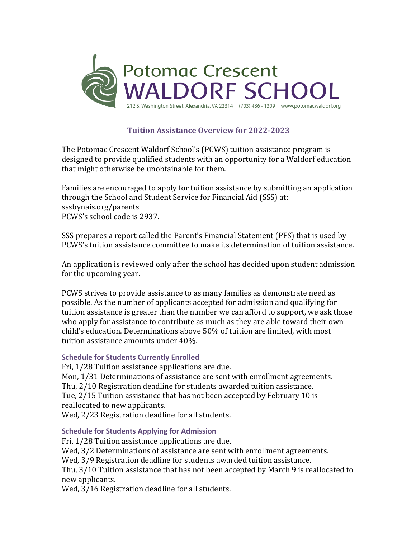

# **Tuition Assistance Overview for 2022-2023**

The Potomac Crescent Waldorf School's (PCWS) tuition assistance program is designed to provide qualified students with an opportunity for a Waldorf education that might otherwise be unobtainable for them.

Families are encouraged to apply for tuition assistance by submitting an application through the School and Student Service for Financial Aid (SSS) at: sssbynais.org/parents PCWS's school code is 2937.

SSS prepares a report called the Parent's Financial Statement (PFS) that is used by PCWS's tuition assistance committee to make its determination of tuition assistance.

An application is reviewed only after the school has decided upon student admission for the upcoming year.

PCWS strives to provide assistance to as many families as demonstrate need as possible. As the number of applicants accepted for admission and qualifying for tuition assistance is greater than the number we can afford to support, we ask those who apply for assistance to contribute as much as they are able toward their own child's education. Determinations above 50% of tuition are limited, with most tuition assistance amounts under 40%.

# **Schedule for Students Currently Enrolled**

Fri, 1/28 Tuition assistance applications are due.

Mon,  $1/31$  Determinations of assistance are sent with enrollment agreements. Thu, 2/10 Registration deadline for students awarded tuition assistance. Tue, 2/15 Tuition assistance that has not been accepted by February 10 is reallocated to new applicants.

Wed, 2/23 Registration deadline for all students.

#### **Schedule for Students Applying for Admission**

Fri, 1/28 Tuition assistance applications are due.

Wed,  $3/2$  Determinations of assistance are sent with enrollment agreements.

Wed,  $3/9$  Registration deadline for students awarded tuition assistance.

Thu, 3/10 Tuition assistance that has not been accepted by March 9 is reallocated to new applicants.

Wed, 3/16 Registration deadline for all students.